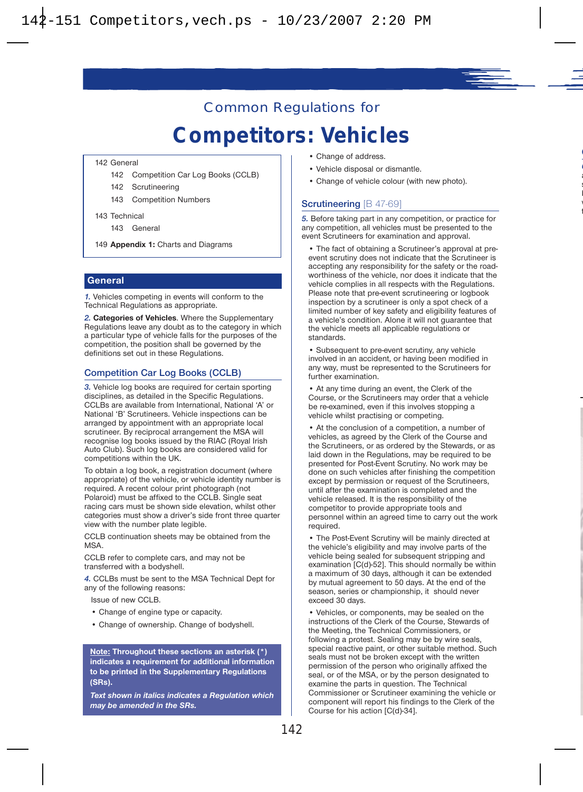# Common Regulations for

# **Competitors: Vehicles**

142 General

- 142 Competition Car Log Books (CCLB)
- 142 Scrutineering
- 143 Competition Numbers
- 143 Technical
	- 143 General
- 149 **Appendix 1:** Charts and Diagrams

#### **General**

*1.* Vehicles competing in events will conform to the Technical Regulations as appropriate.

*2.* **Categories of Vehicles**. Where the Supplementary Regulations leave any doubt as to the category in which a particular type of vehicle falls for the purposes of the competition, the position shall be governed by the definitions set out in these Regulations.

#### **Competition Car Log Books (CCLB)**

*3.* Vehicle log books are required for certain sporting disciplines, as detailed in the Specific Regulations. CCLBs are available from International, National 'A' or National 'B' Scrutineers. Vehicle inspections can be arranged by appointment with an appropriate local scrutineer. By reciprocal arrangement the MSA will recognise log books issued by the RIAC (Royal Irish Auto Club). Such log books are considered valid for competitions within the UK.

To obtain a log book, a registration document (where appropriate) of the vehicle, or vehicle identity number is required. A recent colour print photograph (not Polaroid) must be affixed to the CCLB. Single seat racing cars must be shown side elevation, whilst other categories must show a driver's side front three quarter view with the number plate legible.

CCLB continuation sheets may be obtained from the MSA.

CCLB refer to complete cars, and may not be transferred with a bodyshell.

*4.* CCLBs must be sent to the MSA Technical Dept for any of the following reasons:

Issue of new CCLB.

- Change of engine type or capacity.
- Change of ownership. Change of bodyshell.

**Note: Throughout these sections an asterisk (\*) indicates a requirement for additional information to be printed in the Supplementary Regulations (SRs).** 

*Text shown in italics indicates a Regulation which may be amended in the SRs.*

- Change of address.
- Vehicle disposal or dismantle.
- Change of vehicle colour (with new photo).

#### **Scrutineering** [B 47-69]

*5.* Before taking part in any competition, or practice for any competition, all vehicles must be presented to the event Scrutineers for examination and approval.

• The fact of obtaining a Scrutineer's approval at preevent scrutiny does not indicate that the Scrutineer is accepting any responsibility for the safety or the roadworthiness of the vehicle, nor does it indicate that the vehicle complies in all respects with the Regulations. Please note that pre-event scrutineering or logbook inspection by a scrutineer is only a spot check of a limited number of key safety and eligibility features of a vehicle's condition. Alone it will not guarantee that the vehicle meets all applicable regulations or standards.

• Subsequent to pre-event scrutiny, any vehicle involved in an accident, or having been modified in any way, must be represented to the Scrutineers for further examination.

• At any time during an event, the Clerk of the Course, or the Scrutineers may order that a vehicle be re-examined, even if this involves stopping a vehicle whilst practising or competing.

• At the conclusion of a competition, a number of vehicles, as agreed by the Clerk of the Course and the Scrutineers, or as ordered by the Stewards, or as laid down in the Regulations, may be required to be presented for Post-Event Scrutiny. No work may be done on such vehicles after finishing the competition except by permission or request of the Scrutineers, until after the examination is completed and the vehicle released. It is the responsibility of the competitor to provide appropriate tools and personnel within an agreed time to carry out the work required.

• The Post-Event Scrutiny will be mainly directed at the vehicle's eligibility and may involve parts of the vehicle being sealed for subsequent stripping and examination [C(d)-52]. This should normally be within a maximum of 30 days, although it can be extended by mutual agreement to 50 days. At the end of the season, series or championship, it should never exceed 30 days.

• Vehicles, or components, may be sealed on the instructions of the Clerk of the Course, Stewards of the Meeting, the Technical Commissioners, or following a protest. Sealing may be by wire seals. special reactive paint, or other suitable method. Such seals must not be broken except with the written permission of the person who originally affixed the seal, or of the MSA, or by the person designated to examine the parts in question. The Technical Commissioner or Scrutineer examining the vehicle or component will report his findings to the Clerk of the Course for his action [C(d)-34].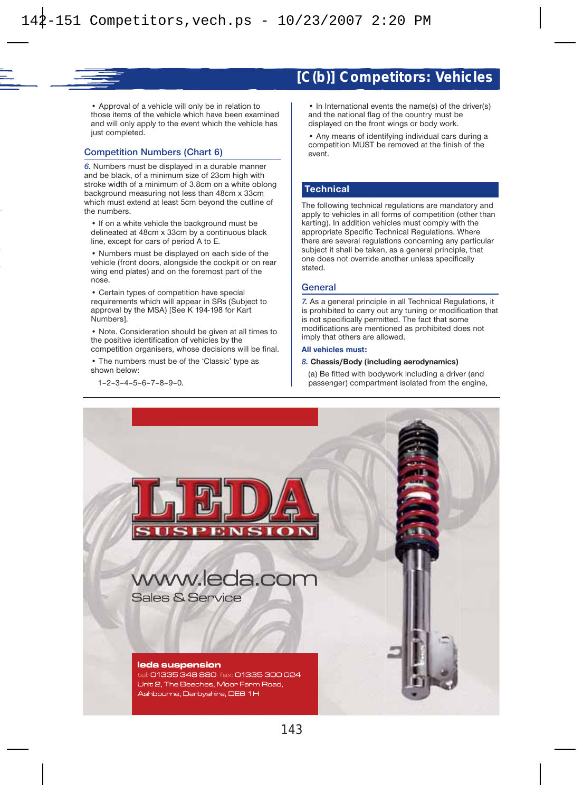### **[C(b)] Competitors: Vehicles**

• Approval of a vehicle will only be in relation to those items of the vehicle which have been examined and will only apply to the event which the vehicle has just completed.

#### **Competition Numbers (Chart 6)**

*6.* Numbers must be displayed in a durable manner and be black, of a minimum size of 23cm high with stroke width of a minimum of 3.8cm on a white oblong background measuring not less than 48cm x 33cm which must extend at least 5cm beyond the outline of the numbers.

• If on a white vehicle the background must be delineated at 48cm x 33cm by a continuous black line, except for cars of period A to E.

• Numbers must be displayed on each side of the vehicle (front doors, alongside the cockpit or on rear wing end plates) and on the foremost part of the nose

• Certain types of competition have special requirements which will appear in SRs (Subject to approval by the MSA) [See K 194-198 for Kart Numbers].

• Note. Consideration should be given at all times to the positive identification of vehicles by the competition organisers, whose decisions will be final.

• The numbers must be of the 'Classic' type as shown below:

1–2–3–4–5–6–7–8–9–0.

• In International events the name(s) of the driver(s) and the national flag of the country must be displayed on the front wings or body work.

• Any means of identifying individual cars during a competition MUST be removed at the finish of the event.

#### **Technical**

The following technical regulations are mandatory and apply to vehicles in all forms of competition (other than karting). In addition vehicles must comply with the appropriate Specific Technical Regulations. Where there are several regulations concerning any particular subject it shall be taken, as a general principle, that one does not override another unless specifically stated.

#### **General**

*7.* As a general principle in all Technical Regulations, it is prohibited to carry out any tuning or modification that is not specifically permitted. The fact that some modifications are mentioned as prohibited does not imply that others are allowed.

#### **All vehicles must:**

#### *8.* **Chassis/Body (including aerodynamics)**

(a) Be fitted with bodywork including a driver (and passenger) compartment isolated from the engine,



www.leda.com

#### leda suspension

Sales & Service

tel: 01335 348 880 fax: 01335 300 024 Unit 2, The Beeches, Moor Farm Road, Ashbourne, Derbyshire, DE6 1H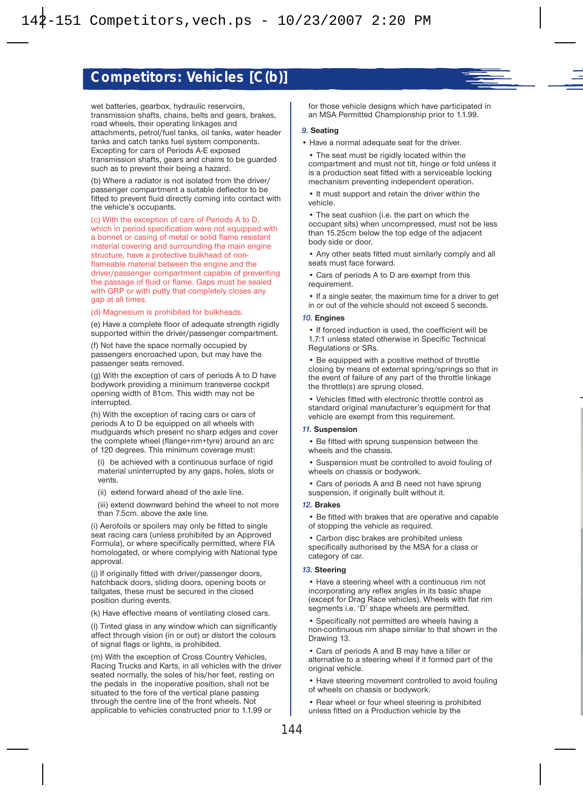

(b) Where a radiator is not isolated from the driver/ passenger compartment a suitable deflector to be fitted to prevent fluid directly coming into contact with the vehicle's occupants.

(c) With the exception of cars of Periods A to D, which in period specification were not equipped with a bonnet or casing of metal or solid flame resistant material covering and surrounding the main engine structure, have a protective bulkhead of nonflameable material between the engine and the driver/passenger compartment capable of preventing the passage of fluid or flame. Gaps must be sealed with GRP or with putty that completely closes any gap at all times.

#### (d) Magnesium is prohibited for bulkheads.

(e) Have a complete floor of adequate strength rigidly supported within the driver/passenger compartment.

(f) Not have the space normally occupied by passengers encroached upon, but may have the passenger seats removed.

(g) With the exception of cars of periods A to D have bodywork providing a minimum transverse cockpit opening width of 81cm. This width may not be interrupted.

(h) With the exception of racing cars or cars of periods A to D be equipped on all wheels with mudguards which present no sharp edges and cover the complete wheel (flange+rim+tyre) around an arc of 120 degrees. This minimum coverage must:

(i) be achieved with a continuous surface of rigid material uninterrupted by any gaps, holes, slots or vents.

(ii) extend forward ahead of the axle line.

(iii) extend downward behind the wheel to not more than 7.5cm. above the axle line.

(i) Aerofoils or spoilers may only be fitted to single seat racing cars (unless prohibited by an Approved Formula), or where specifically permitted, where FIA homologated, or where complying with National type approval.

(j) If originally fitted with driver/passenger doors, hatchback doors, sliding doors, opening boots or tailgates, these must be secured in the closed position during events.

(k) Have effective means of ventilating closed cars.

(l) Tinted glass in any window which can significantly affect through vision (in or out) or distort the colours of signal flags or lights, is prohibited.

(m) With the exception of Cross Country Vehicles, Racing Trucks and Karts, in all vehicles with the driver seated normally, the soles of his/her feet, resting on the pedals in the inoperative position, shall not be situated to the fore of the vertical plane passing through the centre line of the front wheels. Not applicable to vehicles constructed prior to 1.1.99 or

for those vehicle designs which have participated in an MSA Permitted Championship prior to 1.1.99.

#### *9.* **Seating**

• Have a normal adequate seat for the driver.

• The seat must be rigidly located within the compartment and must not tilt, hinge or fold unless it is a production seat fitted with a serviceable locking mechanism preventing independent operation.

• It must support and retain the driver within the vehicle.

• The seat cushion (i.e. the part on which the occupant sits) when uncompressed, must not be less than 15.25cm below the top edge of the adjacent body side or door.

• Any other seats fitted must similarly comply and all seats must face forward.

• Cars of periods A to D are exempt from this requirement.

• If a single seater, the maximum time for a driver to get in or out of the vehicle should not exceed 5 seconds.

#### *10.* **Engines**

• If forced induction is used, the coefficient will be 1.7:1 unless stated otherwise in Specific Technical Regulations or SRs.

• Be equipped with a positive method of throttle closing by means of external spring/springs so that in the event of failure of any part of the throttle linkage the throttle(s) are sprung closed.

• Vehicles fitted with electronic throttle control as standard original manufacturer's equipment for that vehicle are exempt from this requirement.

#### *11.* **Suspension**

• Be fitted with sprung suspension between the wheels and the chassis.

• Suspension must be controlled to avoid fouling of wheels on chassis or bodywork.

• Cars of periods A and B need not have sprung suspension, if originally built without it.

#### *12.* **Brakes**

• Be fitted with brakes that are operative and capable of stopping the vehicle as required.

• Carbon disc brakes are prohibited unless specifically authorised by the MSA for a class or category of car.

#### *13.* **Steering**

• Have a steering wheel with a continuous rim not incorporating any reflex angles in its basic shape (except for Drag Race vehicles). Wheels with flat rim segments i.e. 'D' shape wheels are permitted.

• Specifically not permitted are wheels having a non-continuous rim shape similar to that shown in the Drawing 13.

• Cars of periods A and B may have a tiller or alternative to a steering wheel if it formed part of the original vehicle.

• Have steering movement controlled to avoid fouling of wheels on chassis or bodywork.

• Rear wheel or four wheel steering is prohibited unless fitted on a Production vehicle by the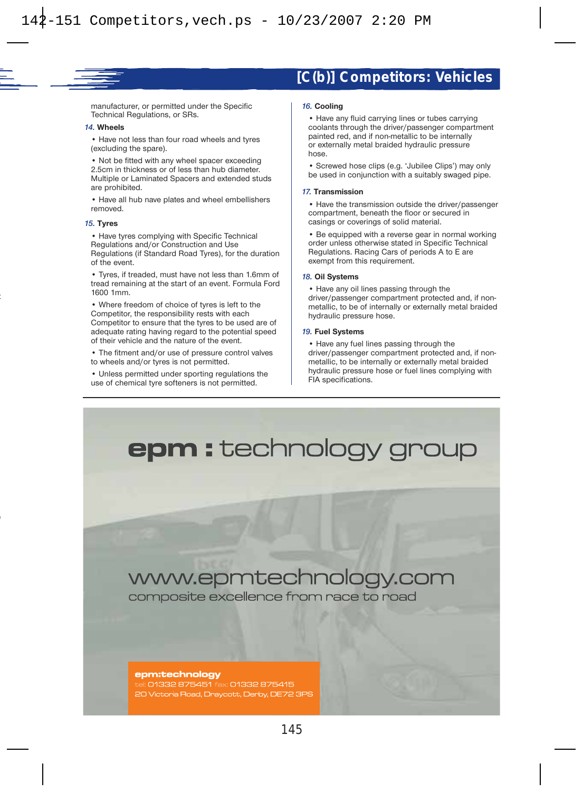### **[C(b)] Competitors: Vehicles**

manufacturer, or permitted under the Specific Technical Regulations, or SRs.

#### *14.* **Wheels**

• Have not less than four road wheels and tyres (excluding the spare).

• Not be fitted with any wheel spacer exceeding 2.5cm in thickness or of less than hub diameter. Multiple or Laminated Spacers and extended studs are prohibited.

• Have all hub nave plates and wheel embellishers removed.

#### *15.* **Tyres**

• Have tyres complying with Specific Technical Regulations and/or Construction and Use Regulations (if Standard Road Tyres), for the duration of the event.

• Tyres, if treaded, must have not less than 1.6mm of tread remaining at the start of an event. Formula Ford 1600 1mm.

• Where freedom of choice of tyres is left to the Competitor, the responsibility rests with each Competitor to ensure that the tyres to be used are of adequate rating having regard to the potential speed of their vehicle and the nature of the event.

• The fitment and/or use of pressure control valves to wheels and/or tyres is not permitted.

• Unless permitted under sporting regulations the use of chemical tyre softeners is not permitted.

#### *16.* **Cooling**

• Have any fluid carrying lines or tubes carrying coolants through the driver/passenger compartment painted red, and if non-metallic to be internally or externally metal braided hydraulic pressure hose.

• Screwed hose clips (e.g. 'Jubilee Clips') may only be used in conjunction with a suitably swaged pipe.

#### *17.* **Transmission**

• Have the transmission outside the driver/passenger compartment, beneath the floor or secured in casings or coverings of solid material.

• Be equipped with a reverse gear in normal working order unless otherwise stated in Specific Technical Regulations. Racing Cars of periods A to E are exempt from this requirement.

#### *18.* **Oil Systems**

• Have any oil lines passing through the driver/passenger compartment protected and, if nonmetallic, to be of internally or externally metal braided hydraulic pressure hose.

#### *19.* **Fuel Systems**

• Have any fuel lines passing through the driver/passenger compartment protected and, if nonmetallic, to be internally or externally metal braided hydraulic pressure hose or fuel lines complying with FIA specifications.

# **epm :** technology group

# www.epmtechnology.com

composite excellence from race to road

#### epm:technology

: 01332 875451 fax: 01332 875415 20 Victoria Road, Draycott, Derby, DE72 3PS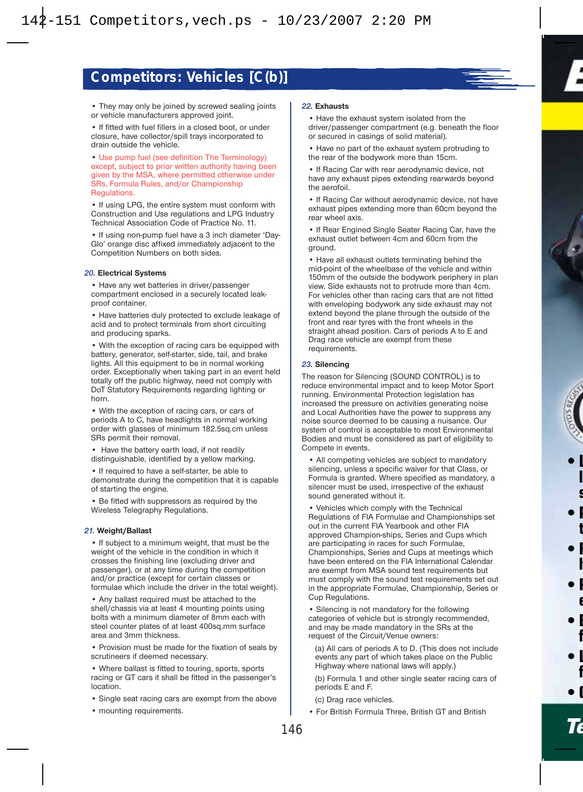

• They may only be joined by screwed sealing joints or vehicle manufacturers approved joint.

• If fitted with fuel fillers in a closed boot, or under closure, have collector/spill trays incorporated to drain outside the vehicle.

• Use pump fuel (see definition The Terminology) except, subject to prior written authority having been given by the MSA, where permitted otherwise under SRs, Formula Rules, and/or Championship Regulations.

• If using LPG, the entire system must conform with Construction and Use regulations and LPG Industry Technical Association Code of Practice No. 11.

• If using non-pump fuel have a 3 inch diameter 'Day-Glo' orange disc affixed immediately adjacent to the Competition Numbers on both sides.

#### *20.* **Electrical Systems**

• Have any wet batteries in driver/passenger compartment enclosed in a securely located leakproof container.

• Have batteries duly protected to exclude leakage of acid and to protect terminals from short circuiting and producing sparks.

• With the exception of racing cars be equipped with battery, generator, self-starter, side, tail, and brake lights. All this equipment to be in normal working order. Exceptionally when taking part in an event held totally off the public highway, need not comply with DoT Statutory Requirements regarding lighting or horn.

• With the exception of racing cars, or cars of periods A to C, have headlights in normal working order with glasses of minimum 182.5sq.cm unless SRs permit their removal.

• Have the battery earth lead, if not readily distinguishable, identified by a yellow marking.

• If required to have a self-starter, be able to demonstrate during the competition that it is capable of starting the engine.

• Be fitted with suppressors as required by the Wireless Telegraphy Regulations.

#### *21.* **Weight/Ballast**

• If subject to a minimum weight, that must be the weight of the vehicle in the condition in which it crosses the finishing line (excluding driver and passenger), or at any time during the competition and/or practice (except for certain classes or formulae which include the driver in the total weight).

• Any ballast required must be attached to the shell/chassis via at least 4 mounting points using bolts with a minimum diameter of 8mm each with steel counter plates of at least 400sq.mm surface area and 3mm thickness.

• Provision must be made for the fixation of seals by scrutineers if deemed necessary.

• Where ballast is fitted to touring, sports, sports racing or GT cars it shall be fitted in the passenger's location.

- Single seat racing cars are exempt from the above
- mounting requirements.

#### *22.* **Exhausts**

• Have the exhaust system isolated from the driver/passenger compartment (e.g. beneath the floor or secured in casings of solid material).

• Have no part of the exhaust system protruding to the rear of the bodywork more than 15cm.

• If Racing Car with rear aerodynamic device, not have any exhaust pipes extending rearwards beyond the aerofoil.

• If Racing Car without aerodynamic device, not have exhaust pipes extending more than 60cm beyond the rear wheel axis.

• If Rear Engined Single Seater Racing Car, have the exhaust outlet between 4cm and 60cm from the ground.

• Have all exhaust outlets terminating behind the mid-point of the wheelbase of the vehicle and within 150mm of the outside the bodywork periphery in plan view. Side exhausts not to protrude more than 4cm. For vehicles other than racing cars that are not fitted with enveloping bodywork any side exhaust may not extend beyond the plane through the outside of the front and rear tyres with the front wheels in the straight ahead position. Cars of periods A to E and Drag race vehicle are exempt from these requirements.

#### *23.* **Silencing**

The reason for Silencing (SOUND CONTROL) is to reduce environmental impact and to keep Motor Sport running. Environmental Protection legislation has increased the pressure on activities generating noise and Local Authorities have the power to suppress any noise source deemed to be causing a nuisance. Our system of control is acceptable to most Environmental Bodies and must be considered as part of eligibility to Compete in events.

• All competing vehicles are subject to mandatory silencing, unless a specific waiver for that Class, or Formula is granted. Where specified as mandatory, a silencer must be used, irrespective of the exhaust sound generated without it.

• Vehicles which comply with the Technical Regulations of FIA Formulae and Championships set out in the current FIA Yearbook and other FIA approved Champion-ships, Series and Cups which are participating in races for such Formulae, Championships, Series and Cups at meetings which have been entered on the FIA International Calendar are exempt from MSA sound test requirements but must comply with the sound test requirements set out in the appropriate Formulae, Championship, Series or Cup Regulations.

• Silencing is not mandatory for the following categories of vehicle but is strongly recommended, and may be made mandatory in the SRs at the request of the Circuit/Venue owners:

(a) All cars of periods A to D. (This does not include events any part of which takes place on the Public Highway where national laws will apply.)

(b) Formula 1 and other single seater racing cars of periods E and F.

(c) Drag race vehicles.

• For British Formula Three, British GT and British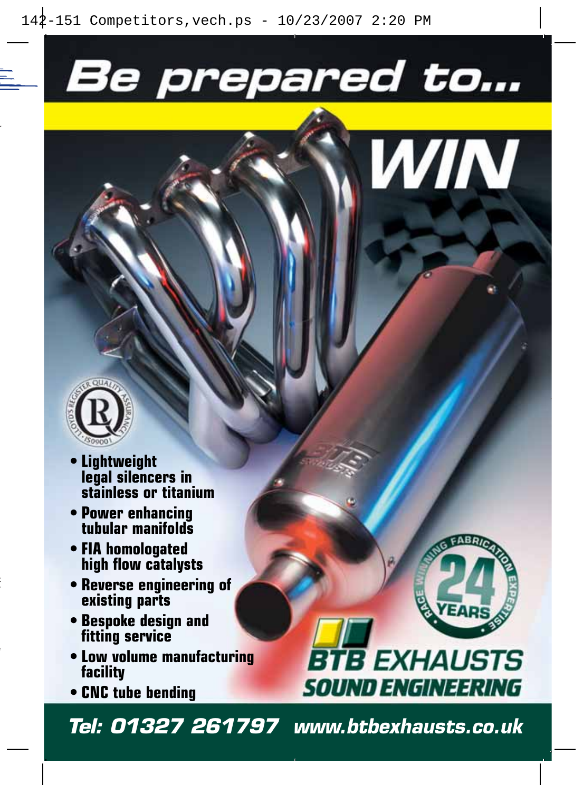# Be prepared to...





- **Lightweight legal silencers in stainless or titanium**
- **Power enhancing tubular manifolds**
- **FIA homologated high flow catalysts**
- **Reverse engineering of existing parts**
- **Bespoke design and fitting service**
- **Low volume manufacturing facility**
- **CNC tube bending**



# **BTB EXHAUSTS SOUND ENGINEERING**

*Tel: 01327 261797 www.btbexhausts.co.uk*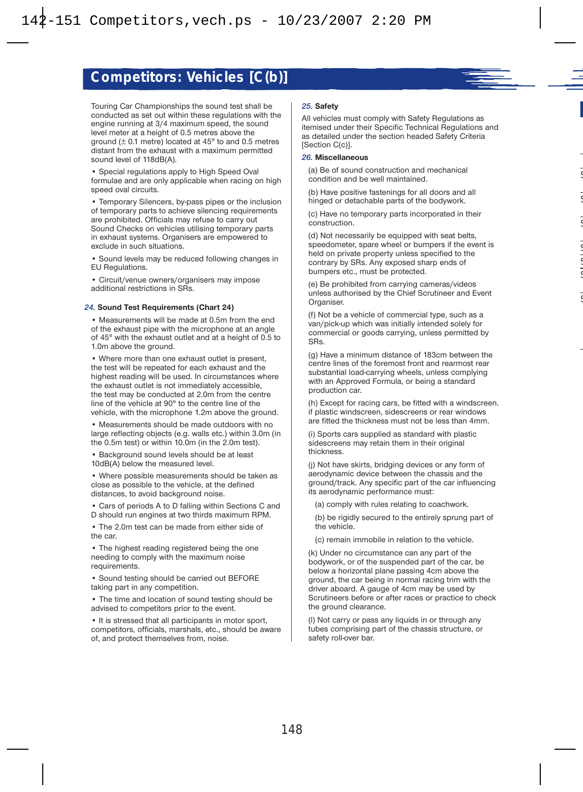

• Special regulations apply to High Speed Oval formulae and are only applicable when racing on high speed oval circuits.

• Temporary Silencers, by-pass pipes or the inclusion of temporary parts to achieve silencing requirements are prohibited. Officials may refuse to carry out Sound Checks on vehicles utilising temporary parts in exhaust systems. Organisers are empowered to exclude in such situations.

• Sound levels may be reduced following changes in EU Regulations.

• Circuit/venue owners/organisers may impose additional restrictions in SRs.

#### *24.* **Sound Test Requirements (Chart 24)**

• Measurements will be made at 0.5m from the end of the exhaust pipe with the microphone at an angle of 45° with the exhaust outlet and at a height of 0.5 to 1.0m above the ground.

• Where more than one exhaust outlet is present, the test will be repeated for each exhaust and the highest reading will be used. In circumstances where the exhaust outlet is not immediately accessible, the test may be conducted at 2.0m from the centre line of the vehicle at 90° to the centre line of the vehicle, with the microphone 1.2m above the ground.

• Measurements should be made outdoors with no large reflecting objects (e.g. walls etc.) within 3.0m (in the 0.5m test) or within 10.0m (in the 2.0m test).

• Background sound levels should be at least 10dB(A) below the measured level.

• Where possible measurements should be taken as close as possible to the vehicle, at the defined distances, to avoid background noise.

• Cars of periods A to D falling within Sections C and D should run engines at two thirds maximum RPM.

• The 2.0m test can be made from either side of the car.

• The highest reading registered being the one needing to comply with the maximum noise requirements.

• Sound testing should be carried out BEFORE taking part in any competition.

• The time and location of sound testing should be advised to competitors prior to the event.

• It is stressed that all participants in motor sport, competitors, officials, marshals, etc., should be aware of, and protect themselves from, noise.

#### *25.* **Safety**

All vehicles must comply with Safety Regulations as itemised under their Specific Technical Regulations and as detailed under the section headed Safety Criteria [Section C(c)].

#### *26.* **Miscellaneous**

(a) Be of sound construction and mechanical condition and be well maintained.

(b) Have positive fastenings for all doors and all hinged or detachable parts of the bodywork.

(c) Have no temporary parts incorporated in their construction.

(d) Not necessarily be equipped with seat belts, speedometer, spare wheel or bumpers if the event is held on private property unless specified to the contrary by SRs. Any exposed sharp ends of bumpers etc., must be protected.

(e) Be prohibited from carrying cameras/videos unless authorised by the Chief Scrutineer and Event Organiser.

(f) Not be a vehicle of commercial type, such as a van/pick-up which was initially intended solely for commercial or goods carrying, unless permitted by SRs.

(g) Have a minimum distance of 183cm between the centre lines of the foremost front and rearmost rear substantial load-carrying wheels, unless complying with an Approved Formula, or being a standard production car.

(h) Except for racing cars, be fitted with a windscreen. if plastic windscreen, sidescreens or rear windows are fitted the thickness must not be less than 4mm.

(i) Sports cars supplied as standard with plastic sidescreens may retain them in their original thickness.

(j) Not have skirts, bridging devices or any form of aerodynamic device between the chassis and the ground/track. Any specific part of the car influencing its aerodynamic performance must:

(a) comply with rules relating to coachwork.

(b) be rigidly secured to the entirely sprung part of the vehicle.

(c) remain immobile in relation to the vehicle.

(k) Under no circumstance can any part of the bodywork, or of the suspended part of the car, be below a horizontal plane passing 4cm above the ground, the car being in normal racing trim with the driver aboard. A gauge of 4cm may be used by Scrutineers before or after races or practice to check the ground clearance.

(l) Not carry or pass any liquids in or through any tubes comprising part of the chassis structure, or safety roll-over bar.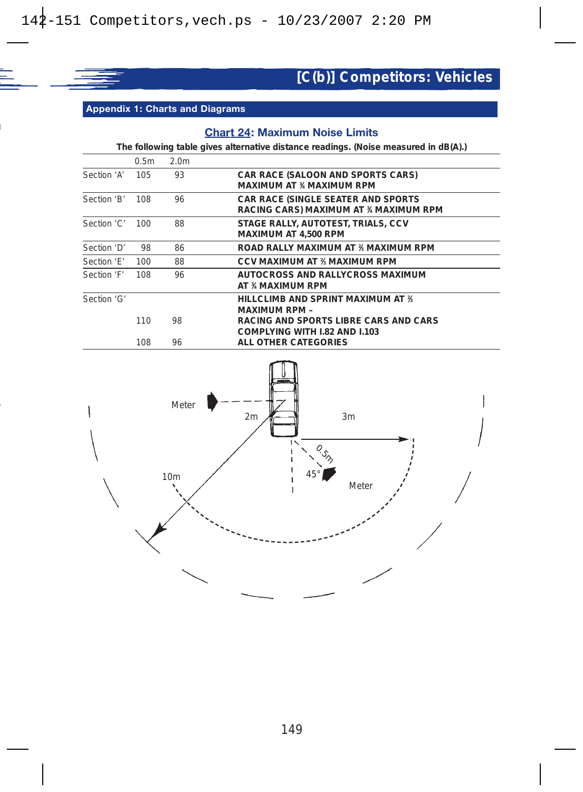

**Appendix 1: Charts and Diagrams**

### **Chart 24: Maximum Noise Limits**

**The following table gives alternative distance readings. (Noise measured in dB(A).)**

|                 | 0.5 <sub>m</sub> | 2.0 <sub>m</sub> |                                                                                     |
|-----------------|------------------|------------------|-------------------------------------------------------------------------------------|
| Section 'A' 105 |                  | 93               | <b>CAR RACE (SALOON AND SPORTS CARS)</b><br>MAXIMUM AT % MAXIMUM RPM                |
| Section 'B'     | 108              | 96               | <b>CAR RACE (SINGLE SEATER AND SPORTS)</b><br>RACING CARS) MAXIMUM AT % MAXIMUM RPM |
| Section 'C'     | 100              | 88               | STAGE RALLY, AUTOTEST, TRIALS, CCV<br>MAXIMUM AT 4,500 RPM                          |
| Section 'D'     | 98               | 86               | ROAD RALLY MAXIMUM AT % MAXIMUM RPM                                                 |
| Section 'F'     | 100              | 88               | CCV MAXIMUM AT % MAXIMUM RPM                                                        |
| Section 'F'     | 108              | 96               | AUTOCROSS AND RALLYCROSS MAXIMUM<br>AT % MAXIMUM RPM                                |
| Section 'G'     |                  |                  | HILLCLIMB AND SPRINT MAXIMUM AT 3.<br><b>MAXIMUM RPM -</b>                          |
|                 | 110              | 98               | RACING AND SPORTS LIBRE CARS AND CARS<br>COMPLYING WITH 1.82 AND 1.103              |
|                 | 108              | 96               | ALL OTHER CATEGORIES                                                                |

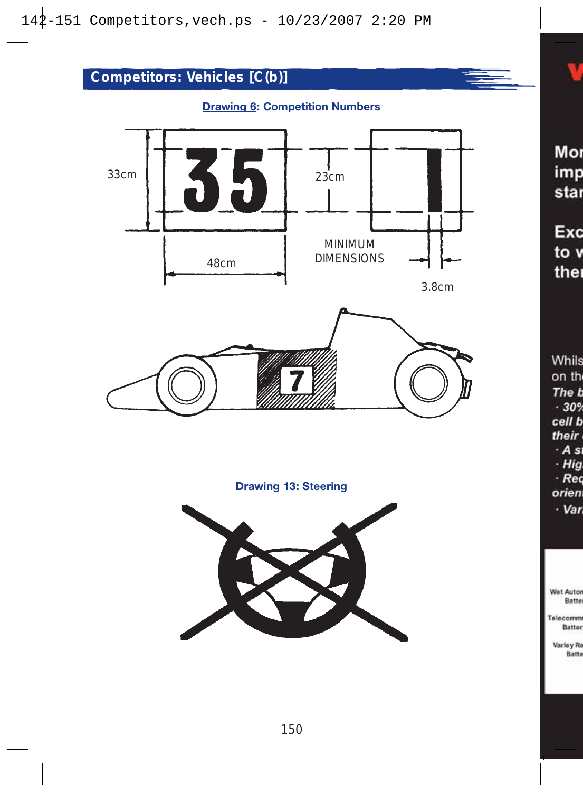

### **Drawing 6: Competition Numbers**